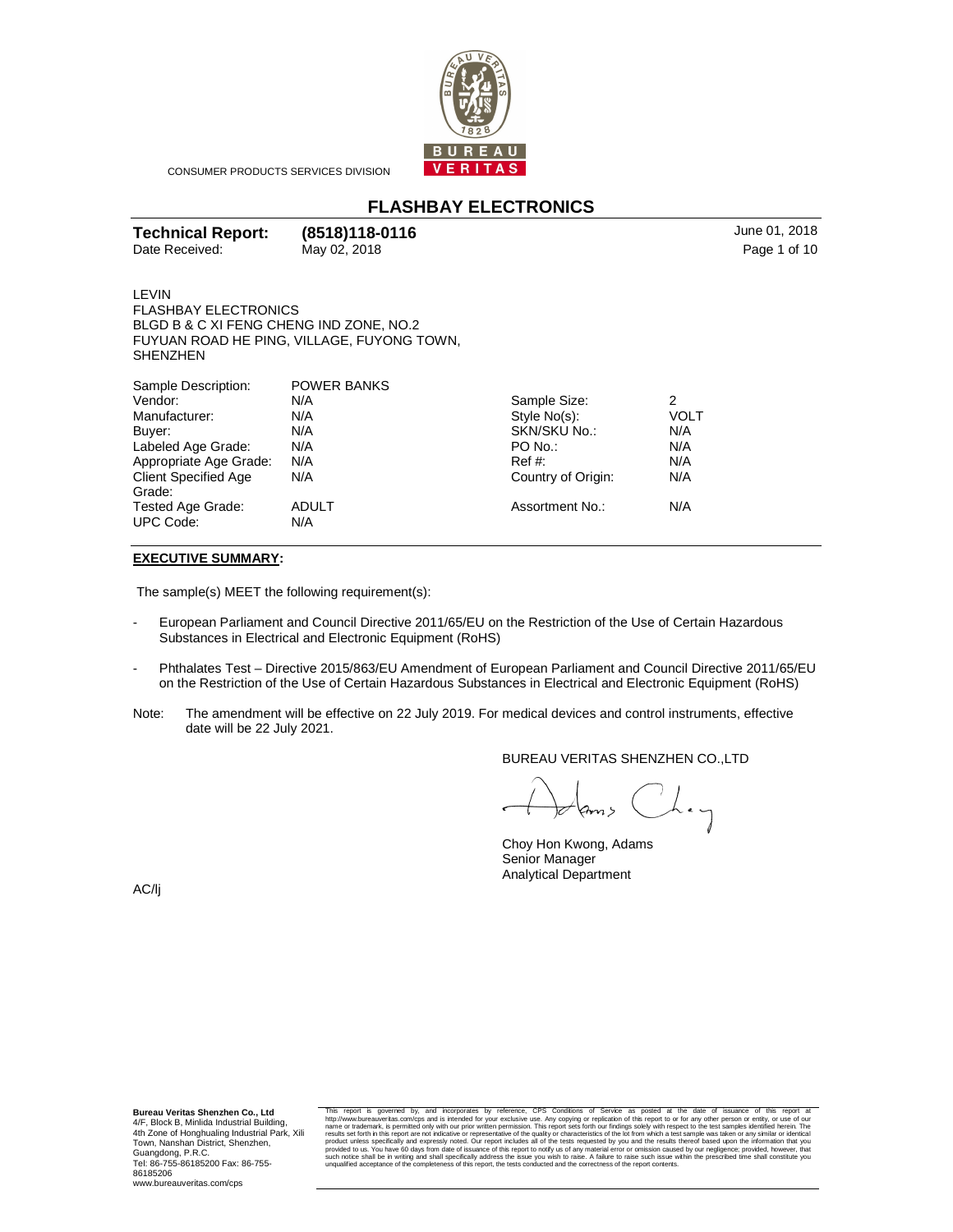

CONSUMER PRODUCTS SERVICES DIVISION

# **FLASHBAY ELECTRONICS**

| <b>Technical Report:</b> | (8518)118-0116 | June 01, 2018 |
|--------------------------|----------------|---------------|
| Date Received:           | May 02, 2018   | Page 1 of 10  |

Page 1 of 10

LEVIN FLASHBAY ELECTRONICS BLGD B & C XI FENG CHENG IND ZONE, NO.2 FUYUAN ROAD HE PING, VILLAGE, FUYONG TOWN, SHENZHEN

| Sample Description:                   | <b>POWER BANKS</b>  |                    |             |  |
|---------------------------------------|---------------------|--------------------|-------------|--|
| Vendor:                               | N/A                 | Sample Size:       | 2           |  |
| Manufacturer:                         | N/A                 | Style No(s):       | <b>VOLT</b> |  |
| Buyer:                                | N/A                 | SKN/SKU No.:       | N/A         |  |
| Labeled Age Grade:                    | N/A                 | PO No.:            | N/A         |  |
| Appropriate Age Grade:                | N/A                 | $Ref#$ :           | N/A         |  |
| <b>Client Specified Age</b>           | N/A                 | Country of Origin: | N/A         |  |
| Grade:                                |                     |                    |             |  |
| Tested Age Grade:<br><b>UPC Code:</b> | <b>ADULT</b><br>N/A | Assortment No.:    | N/A         |  |
|                                       |                     |                    |             |  |

#### **EXECUTIVE SUMMARY:**

The sample(s) MEET the following requirement(s):

- European Parliament and Council Directive 2011/65/EU on the Restriction of the Use of Certain Hazardous Substances in Electrical and Electronic Equipment (RoHS)
- Phthalates Test Directive 2015/863/EU Amendment of European Parliament and Council Directive 2011/65/EU on the Restriction of the Use of Certain Hazardous Substances in Electrical and Electronic Equipment (RoHS)
- Note: The amendment will be effective on 22 July 2019. For medical devices and control instruments, effective date will be 22 July 2021.

BUREAU VERITAS SHENZHEN CO.,LTD

 $\bigcup_{n=1}^{\infty}$  $\overline{\mathbb{R}}$ 

Choy Hon Kwong, Adams Senior Manager Analytical Department

AC/lj

 **Bureau Veritas Shenzhen Co., Ltd**  4/F, Block B, Minlida Industrial Building, 4th Zone of Honghualing Industrial Park, Xili Town, Nanshan District, Shenzhen, Guangdong, P.R.C. Tel: 86-755-86185200 Fax: 86-755- 86185206 www.bureauveritas.com/cps

This report is governed by, and incorporates by reference, CPS Conditions of Service as posted at the date of issuance of this report at the characteristics, that in the state of its report in the state of the state of the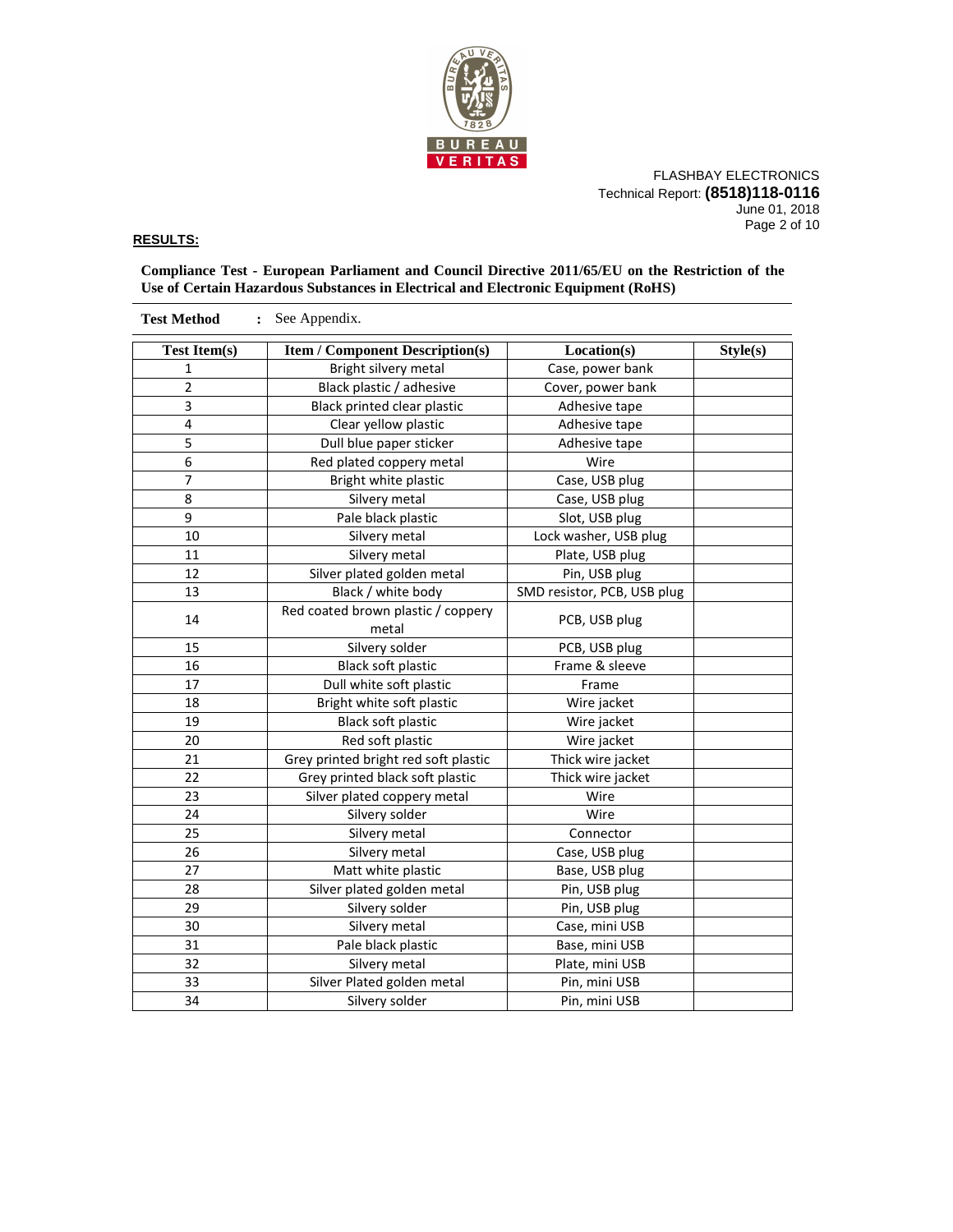

FLASHBAY ELECTRONICS Technical Report: **(8518)118-0116** June 01, 2018 Page 2 of 10

### **RESULTS:**

**Compliance Test - European Parliament and Council Directive 2011/65/EU on the Restriction of the Use of Certain Hazardous Substances in Electrical and Electronic Equipment (RoHS)** 

| <b>Test Item(s)</b> | <b>Item / Component Description(s)</b><br>Location(s) |                             | Style(s) |  |  |  |
|---------------------|-------------------------------------------------------|-----------------------------|----------|--|--|--|
| 1                   | Bright silvery metal                                  | Case, power bank            |          |  |  |  |
| $\overline{2}$      | Black plastic / adhesive                              | Cover, power bank           |          |  |  |  |
| 3                   | Black printed clear plastic                           | Adhesive tape               |          |  |  |  |
| 4                   | Clear yellow plastic                                  | Adhesive tape               |          |  |  |  |
| 5                   | Dull blue paper sticker                               | Adhesive tape               |          |  |  |  |
| $\overline{6}$      | Red plated coppery metal                              | Wire                        |          |  |  |  |
| $\overline{7}$      | Bright white plastic                                  | Case, USB plug              |          |  |  |  |
| 8                   | Silvery metal                                         | Case, USB plug              |          |  |  |  |
| 9                   | Pale black plastic                                    | Slot, USB plug              |          |  |  |  |
| 10                  | Silvery metal                                         | Lock washer, USB plug       |          |  |  |  |
| 11                  | Silvery metal                                         | Plate, USB plug             |          |  |  |  |
| 12                  | Silver plated golden metal                            | Pin, USB plug               |          |  |  |  |
| 13                  | Black / white body                                    | SMD resistor, PCB, USB plug |          |  |  |  |
| 14                  | Red coated brown plastic / coppery<br>metal           | PCB, USB plug               |          |  |  |  |
| 15                  | Silvery solder                                        | PCB, USB plug               |          |  |  |  |
| 16                  | Black soft plastic                                    | Frame & sleeve              |          |  |  |  |
| 17                  | Dull white soft plastic                               | Frame                       |          |  |  |  |
| 18                  | Bright white soft plastic                             | Wire jacket                 |          |  |  |  |
| 19                  | Black soft plastic                                    | Wire jacket                 |          |  |  |  |
| 20                  | Red soft plastic                                      | Wire jacket                 |          |  |  |  |
| 21                  | Grey printed bright red soft plastic                  | Thick wire jacket           |          |  |  |  |
| 22                  | Grey printed black soft plastic                       | Thick wire jacket           |          |  |  |  |
| 23                  | Silver plated coppery metal                           | Wire                        |          |  |  |  |
| 24                  | Silvery solder                                        | Wire                        |          |  |  |  |
| 25                  | Silvery metal                                         | Connector                   |          |  |  |  |
| 26                  | Silvery metal                                         | Case, USB plug              |          |  |  |  |
| 27                  | Matt white plastic                                    | Base, USB plug              |          |  |  |  |
| 28                  | Silver plated golden metal                            | Pin, USB plug               |          |  |  |  |
| 29                  | Silvery solder                                        | Pin, USB plug               |          |  |  |  |
| 30                  | Silvery metal                                         | Case, mini USB              |          |  |  |  |
| 31                  | Pale black plastic                                    | Base, mini USB              |          |  |  |  |
| 32                  | Silvery metal                                         | Plate, mini USB             |          |  |  |  |
| 33                  | Silver Plated golden metal                            | Pin, mini USB               |          |  |  |  |
| 34                  | Silvery solder                                        | Pin, mini USB               |          |  |  |  |

**Test Method :** See Appendix.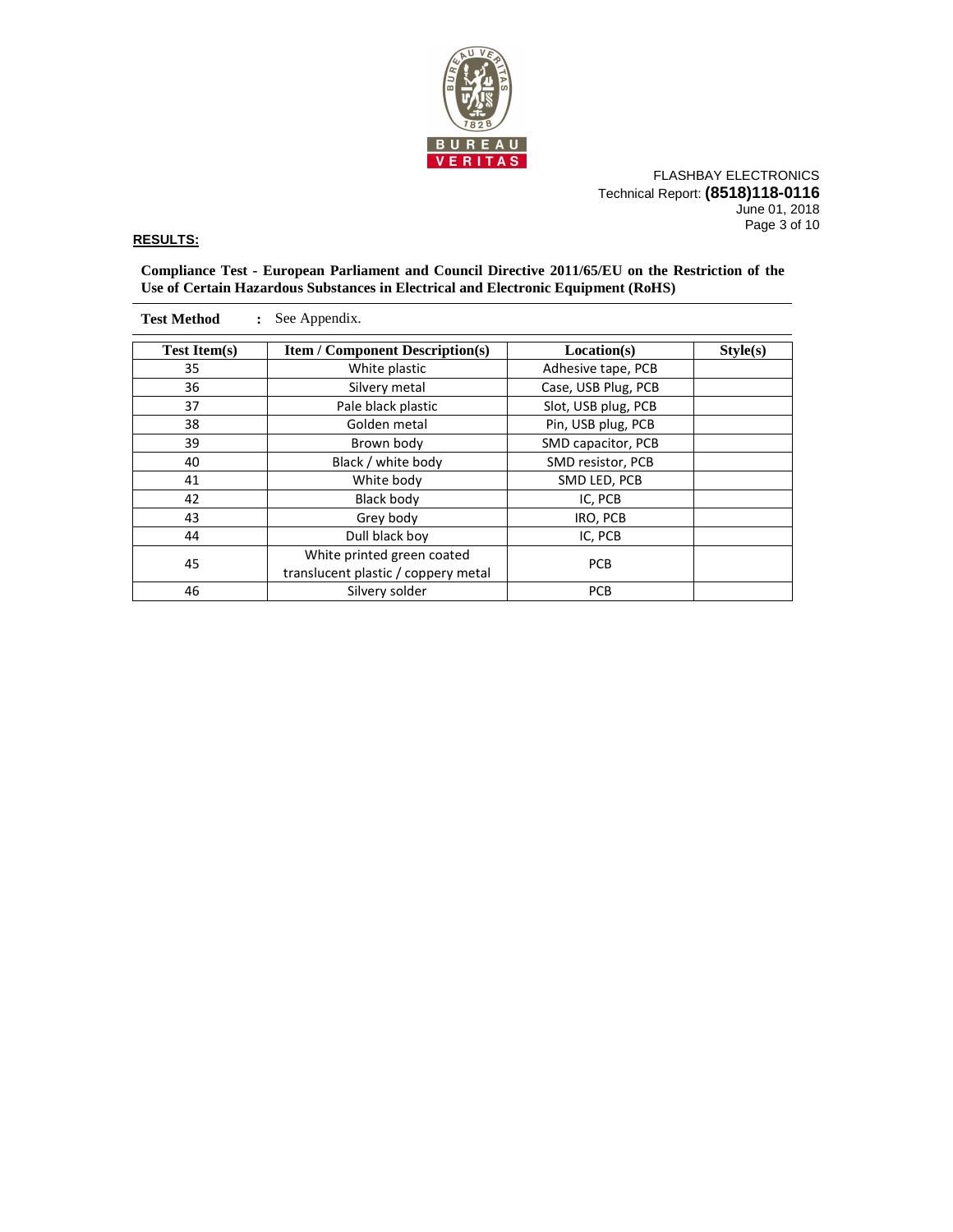

FLASHBAY ELECTRONICS Technical Report: **(8518)118-0116** June 01, 2018 Page 3 of 10

### **RESULTS:**

**Compliance Test - European Parliament and Council Directive 2011/65/EU on the Restriction of the Use of Certain Hazardous Substances in Electrical and Electronic Equipment (RoHS)** 

| See Appendix.<br><b>Test Method</b> |                                                       |                     |  |  |  |  |
|-------------------------------------|-------------------------------------------------------|---------------------|--|--|--|--|
| <b>Test Item(s)</b>                 | <b>Item / Component Description(s)</b><br>Location(s) |                     |  |  |  |  |
| 35                                  | White plastic                                         | Adhesive tape, PCB  |  |  |  |  |
| 36                                  | Silvery metal                                         | Case, USB Plug, PCB |  |  |  |  |
| 37                                  | Pale black plastic                                    | Slot, USB plug, PCB |  |  |  |  |
| 38                                  | Golden metal                                          | Pin, USB plug, PCB  |  |  |  |  |
| 39                                  | Brown body                                            | SMD capacitor, PCB  |  |  |  |  |
| Black / white body<br>40            |                                                       | SMD resistor, PCB   |  |  |  |  |
| 41<br>White body                    |                                                       | SMD LED, PCB        |  |  |  |  |
| 42                                  | Black body                                            |                     |  |  |  |  |
| 43                                  | Grey body                                             | IRO, PCB            |  |  |  |  |
| 44                                  | Dull black boy                                        | IC, PCB             |  |  |  |  |
|                                     | White printed green coated                            | <b>PCB</b>          |  |  |  |  |
| 45                                  | translucent plastic / coppery metal                   |                     |  |  |  |  |
| 46                                  | Silvery solder                                        | <b>PCB</b>          |  |  |  |  |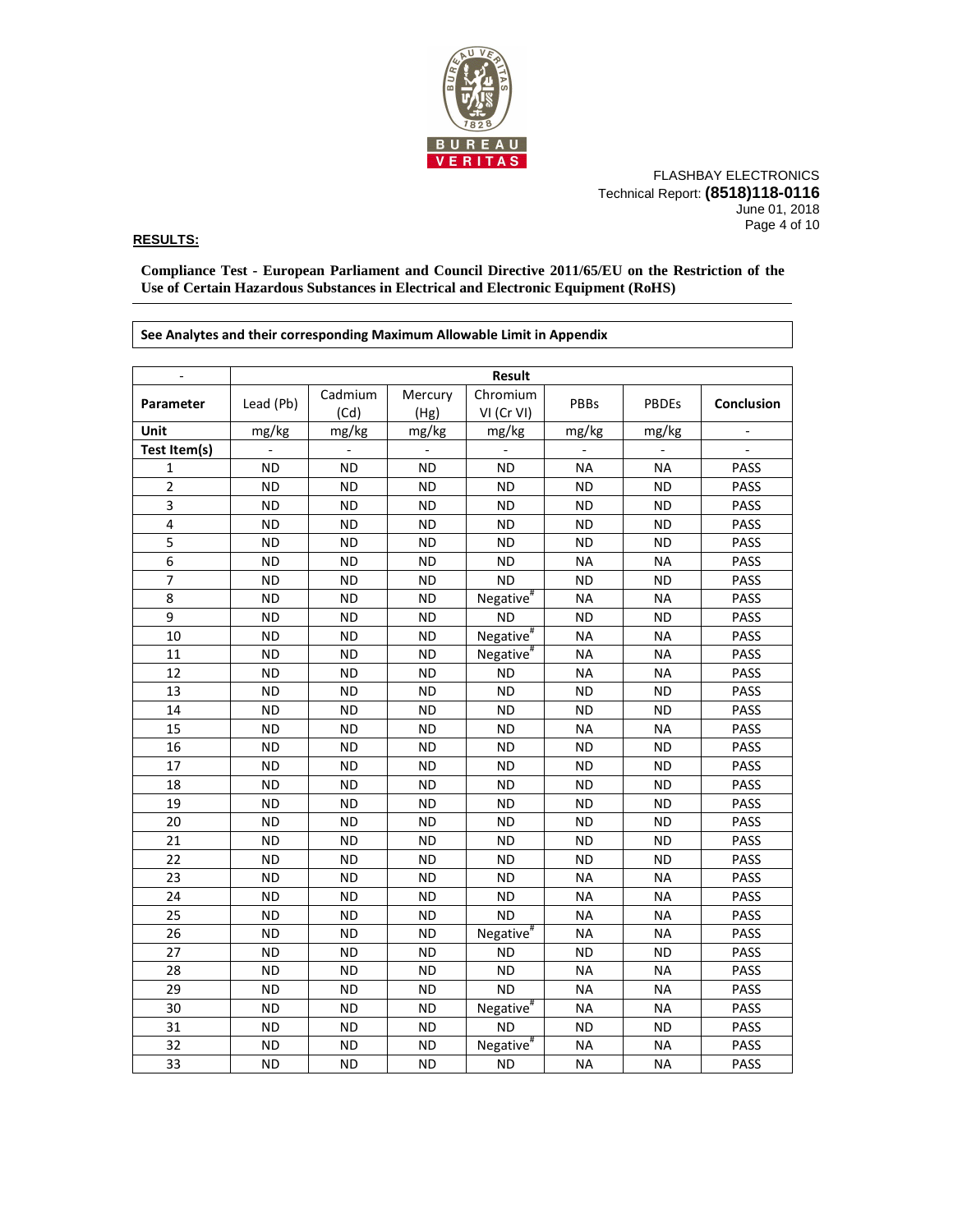

FLASHBAY ELECTRONICS Technical Report: **(8518)118-0116** June 01, 2018 Page 4 of 10

### **RESULTS:**

**Compliance Test - European Parliament and Council Directive 2011/65/EU on the Restriction of the Use of Certain Hazardous Substances in Electrical and Electronic Equipment (RoHS)** 

**See Analytes and their corresponding Maximum Allowable Limit in Appendix**  - **Result Parameter** Lead (Pb) Cadmium (Cd) Mercury (Hg) Chromium VI (Cr VI) PBBs PBDEs **Conclusion Unit** mg/kg mg/kg mg/kg mg/kg mg/kg mg/kg - **Test Item(s)** | - | - | - | - | - | - | -1 | ND | ND | ND | ND | NA | NA | PASS 2 | ND | ND | ND | ND | ND | PASS 3 ND ND ND ND ND ND PASS 4 | ND | ND | ND | ND | ND | PASS 5 ND ND ND ND ND ND PASS 6 ND ND ND ND NA NA PASS 7 ND ND ND ND ND ND PASS 8 | ND | ND | ND | Negative<sup>#</sup> NA | NA | PASS 9 ND ND ND ND ND ND PASS 10 | ND | ND | ND | Negative<sup>#</sup> NA | NA | PASS 11 | ND | ND | ND | Negative<sup>#</sup> NA | NA | PASS 12 | ND | ND | ND | ND | NA | NA | PASS 13 | ND | ND | ND | ND | ND | PASS 14 | ND | ND | ND | ND | ND | PASS 15 | ND | ND | ND | ND | NA | NA | PASS 16 | ND | ND | ND | ND | ND | PASS 17 | ND | ND | ND | ND | ND | PASS 18 | ND | ND | ND | ND | ND | PASS 19 | ND | ND | ND | ND | ND | PASS 20 | ND | ND | ND | ND | ND | PASS 21 | ND | ND | ND | ND | ND | PASS 22 | ND | ND | ND | ND | ND | PASS 23 | ND | ND | ND | ND | NA | NA | PASS 24 | ND | ND | ND | ND | NA | NA | PASS 25 | ND | ND | ND | ND | NA | NA | PASS 26 | ND | ND | ND | Negative<sup>#</sup> NA NA PASS 27 | ND | ND | ND | ND | ND | PASS 28 | ND | ND | ND | ND | NA | NA | PASS 29 | ND | ND | ND | ND | NA | NA | PASS 30 | ND | ND | ND | Negative<sup>#</sup> NA | NA | PASS 31 ND ND ND ND ND ND PASS 32 | ND | ND | ND | Negative<sup>#</sup> NA | NA | PASS 33 | ND | ND | ND | ND | NA | NA | PASS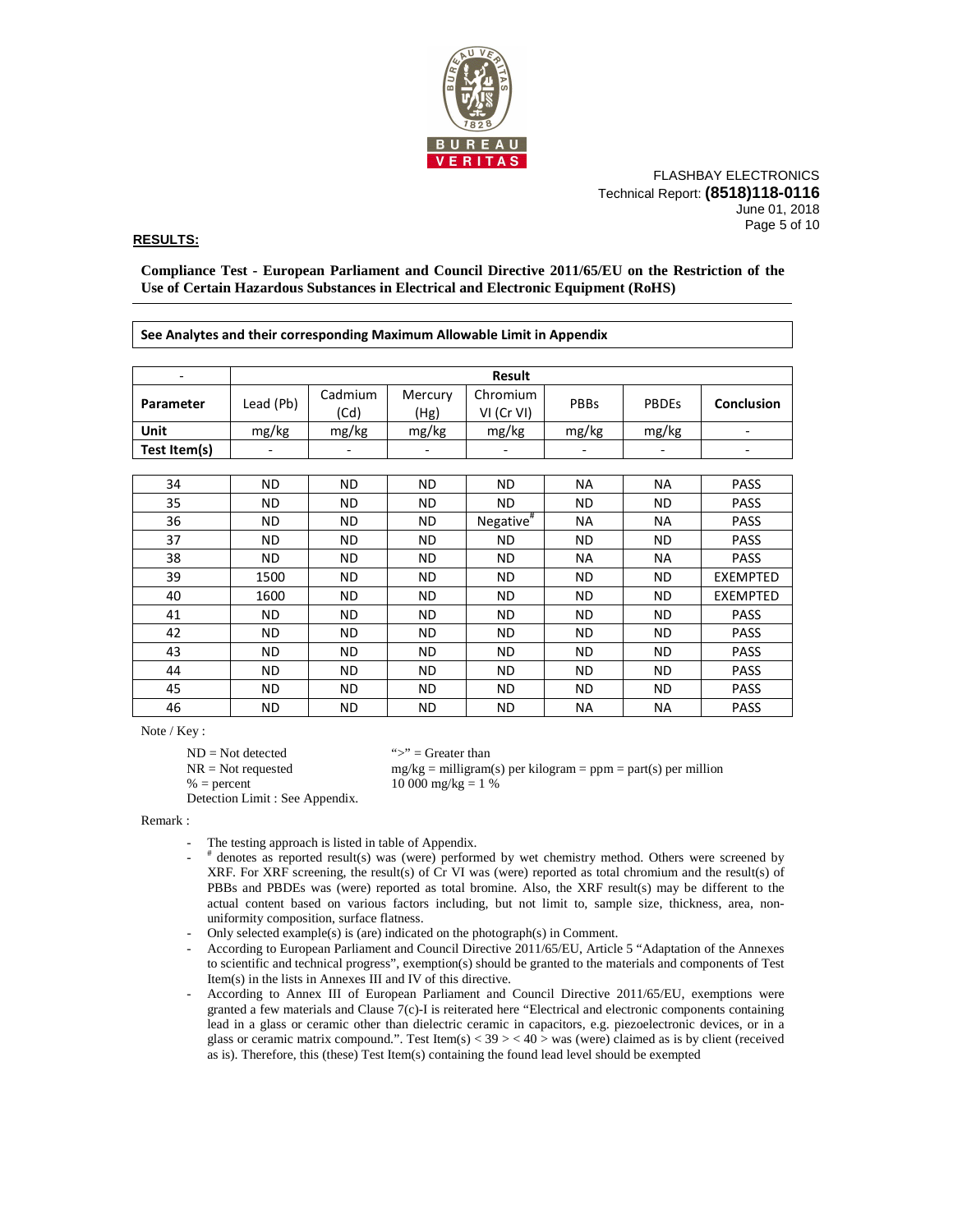

FLASHBAY ELECTRONICS Technical Report: **(8518)118-0116** June 01, 2018 Page 5 of 10

### **RESULTS:**

**Compliance Test - European Parliament and Council Directive 2011/65/EU on the Restriction of the Use of Certain Hazardous Substances in Electrical and Electronic Equipment (RoHS)** 

| See Analytes and their corresponding Maximum Allowable Limit in Appendix |               |           |                                      |                       |                        |              |                   |  |
|--------------------------------------------------------------------------|---------------|-----------|--------------------------------------|-----------------------|------------------------|--------------|-------------------|--|
|                                                                          |               |           |                                      |                       |                        |              |                   |  |
|                                                                          | <b>Result</b> |           |                                      |                       |                        |              |                   |  |
| Parameter                                                                | Lead (Pb)     | Cadmium   | Mercury                              | Chromium              | PBBs                   | <b>PBDEs</b> | <b>Conclusion</b> |  |
|                                                                          |               | (Cd)      | (Hg)                                 | VI (Cr VI)            |                        |              |                   |  |
| Unit                                                                     | mg/kg         | mg/kg     | mg/kg                                | mg/kg                 | mg/kg                  | mg/kg        |                   |  |
| Test Item(s)                                                             |               |           |                                      |                       |                        |              |                   |  |
|                                                                          |               |           |                                      |                       |                        |              |                   |  |
| 34                                                                       | ND.           | ND.       | ND.                                  | ND.                   | <b>NA</b>              | <b>NA</b>    | <b>PASS</b>       |  |
| 35                                                                       | <b>ND</b>     | <b>ND</b> | <b>ND</b><br>ND.<br><b>ND</b><br>ND. |                       | <b>PASS</b>            |              |                   |  |
| 36                                                                       | <b>ND</b>     | ND.       | <b>ND</b>                            | Negative <sup>#</sup> | <b>NA</b><br><b>NA</b> |              | <b>PASS</b>       |  |
| 37                                                                       | <b>ND</b>     | <b>ND</b> | ND.                                  | ND.                   | ND.<br>ND.             | <b>PASS</b>  |                   |  |
| 38                                                                       | ND.           | ND.       | ND.                                  | ND.                   | <b>NA</b>              | <b>NA</b>    | <b>PASS</b>       |  |
| 39                                                                       | 1500          | <b>ND</b> | ND.                                  | ND.                   | ND.                    | ND           | <b>EXEMPTED</b>   |  |
| 40                                                                       | 1600          | ND.       | <b>ND</b>                            | ND.                   | <b>ND</b>              | ND.          | <b>EXEMPTED</b>   |  |
| 41                                                                       | <b>ND</b>     | <b>ND</b> | ND.                                  | ND.                   | <b>ND</b>              | ND.          | <b>PASS</b>       |  |
| 42                                                                       | ND.           | ND.       | ND.                                  | <b>ND</b>             | <b>ND</b>              | ND.          | <b>PASS</b>       |  |
| 43                                                                       | <b>ND</b>     | ND.       | ND.                                  | ND.                   | <b>ND</b>              | ND.          | <b>PASS</b>       |  |
| 44                                                                       | <b>ND</b>     | ND.       | <b>ND</b>                            | ND.                   | <b>ND</b>              | ND.          | <b>PASS</b>       |  |
| 45                                                                       | <b>ND</b>     | ND.       | ND.                                  | ND.                   | ND.                    | ND.          | <b>PASS</b>       |  |
| 46                                                                       | <b>ND</b>     | ND.       | <b>ND</b>                            | ND.                   | <b>NA</b>              | <b>NA</b>    | <b>PASS</b>       |  |

Note / Key :

 $ND = Not detected$  ">" = Greater than

 $NR = Not requested$  mg/kg = milligram(s) per kilogram = ppm = part(s) per million

 $% = percent$  10 000 mg/kg = 1 %

Detection Limit : See Appendix.

Remark :

- The testing approach is listed in table of Appendix.
- # denotes as reported result(s) was (were) performed by wet chemistry method. Others were screened by XRF. For XRF screening, the result(s) of Cr VI was (were) reported as total chromium and the result(s) of PBBs and PBDEs was (were) reported as total bromine. Also, the XRF result(s) may be different to the actual content based on various factors including, but not limit to, sample size, thickness, area, nonuniformity composition, surface flatness.
	- Only selected example(s) is (are) indicated on the photograph(s) in Comment.
- According to European Parliament and Council Directive 2011/65/EU, Article 5 "Adaptation of the Annexes to scientific and technical progress", exemption(s) should be granted to the materials and components of Test Item(s) in the lists in Annexes III and IV of this directive.
	- According to Annex III of European Parliament and Council Directive 2011/65/EU, exemptions were granted a few materials and Clause 7(c)-I is reiterated here "Electrical and electronic components containing lead in a glass or ceramic other than dielectric ceramic in capacitors, e.g. piezoelectronic devices, or in a glass or ceramic matrix compound.". Test Item(s)  $<$  39  $>$   $<$  40  $>$  was (were) claimed as is by client (received as is). Therefore, this (these) Test Item(s) containing the found lead level should be exempted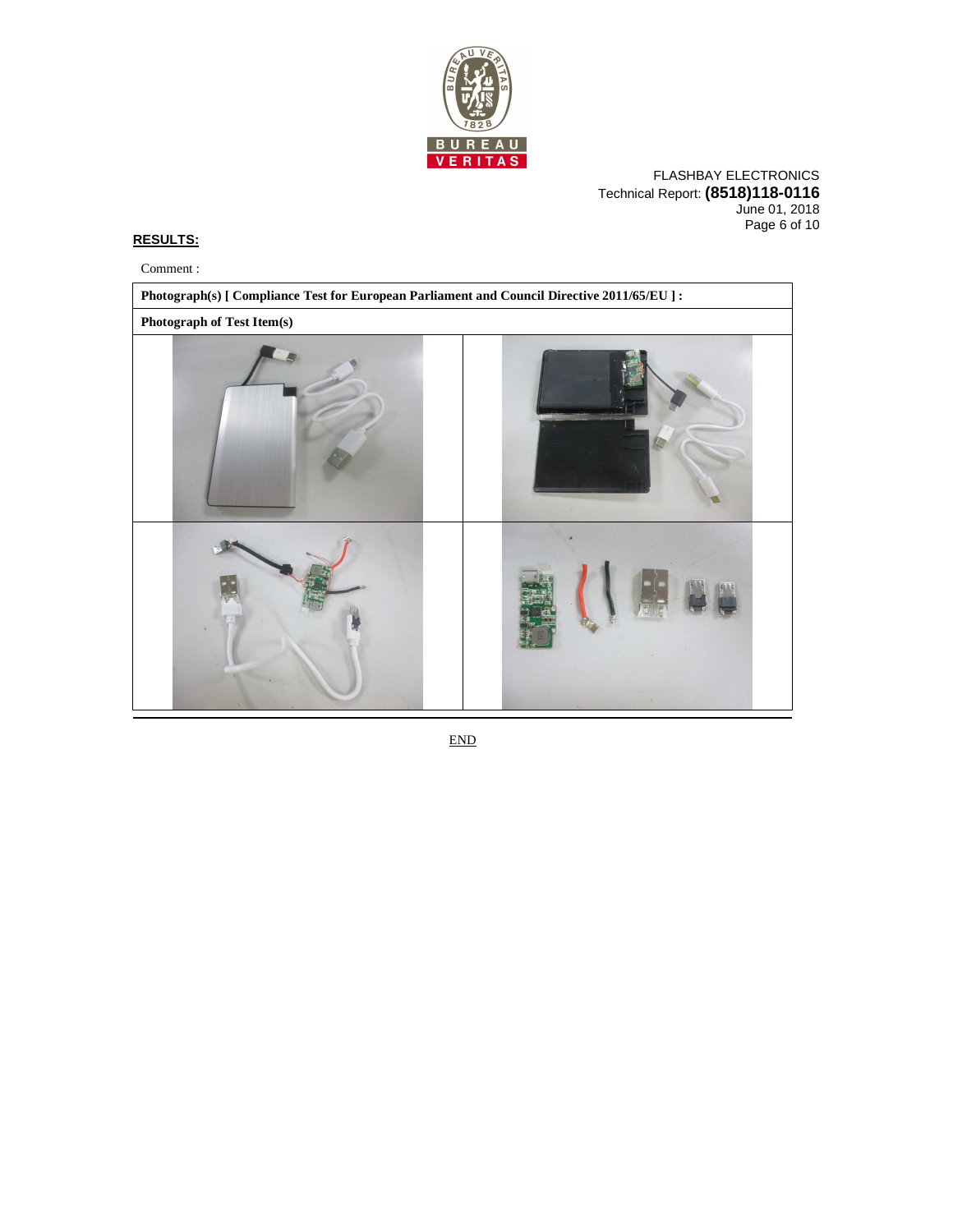

FLASHBAY ELECTRONICS Technical Report: **(8518)118-0116** June 01, 2018 Page 6 of 10

## **RESULTS:**

Comment :



END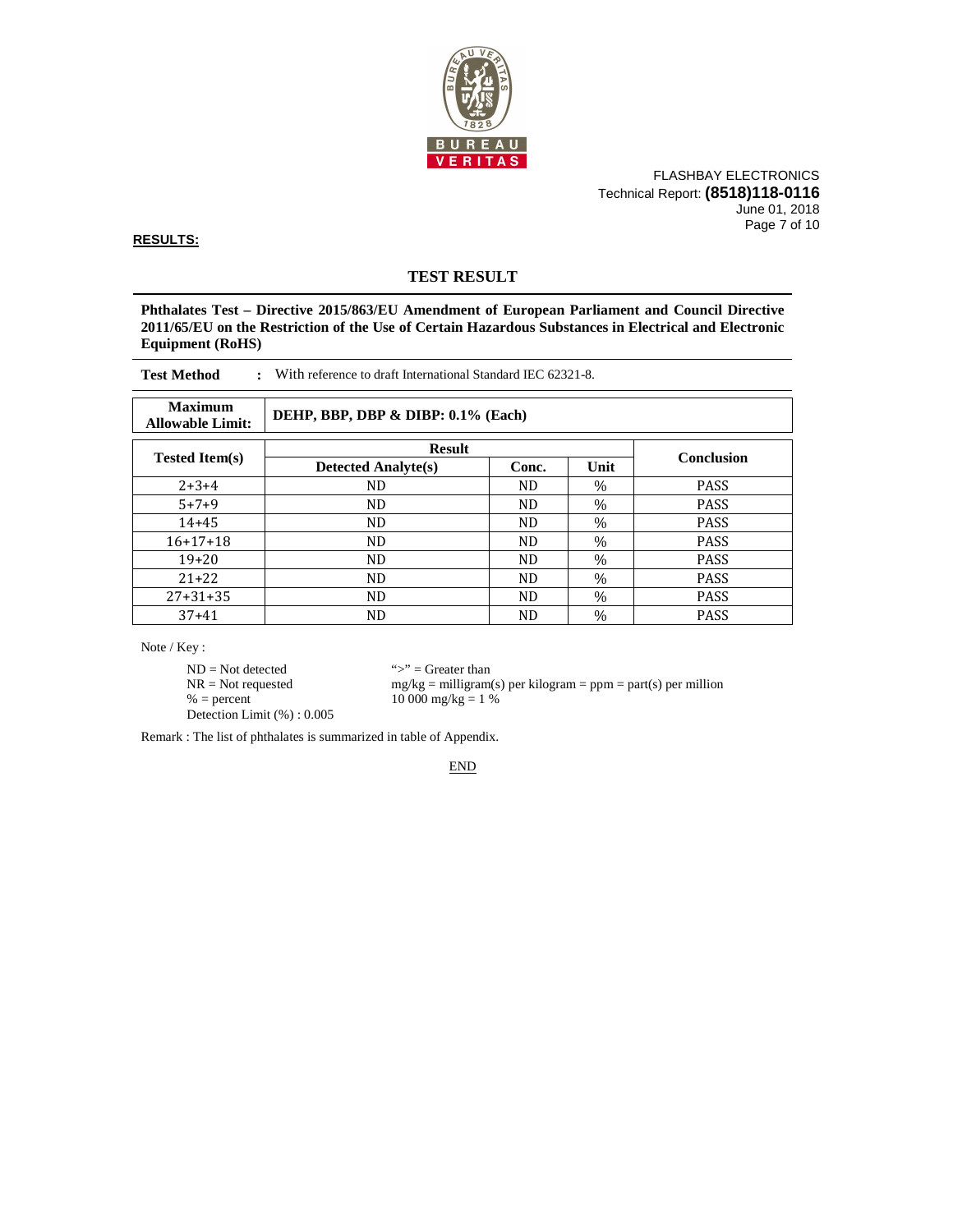

FLASHBAY ELECTRONICS Technical Report: **(8518)118-0116** June 01, 2018 Page 7 of 10

**RESULTS:**

# **TEST RESULT**

**Phthalates Test – Directive 2015/863/EU Amendment of European Parliament and Council Directive 2011/65/EU on the Restriction of the Use of Certain Hazardous Substances in Electrical and Electronic Equipment (RoHS)** 

| <b>Test Method</b><br>With reference to draft International Standard IEC 62321-8. |                                    |       |               |             |  |  |
|-----------------------------------------------------------------------------------|------------------------------------|-------|---------------|-------------|--|--|
| <b>Maximum</b><br><b>Allowable Limit:</b>                                         | DEHP, BBP, DBP & DIBP: 0.1% (Each) |       |               |             |  |  |
|                                                                                   | <b>Result</b>                      |       |               |             |  |  |
| <b>Tested Item(s)</b>                                                             | <b>Detected Analyte(s)</b>         | Conc. | Unit          | Conclusion  |  |  |
| $2+3+4$                                                                           | ND                                 | ND.   | $\%$          | <b>PASS</b> |  |  |
| $5 + 7 + 9$                                                                       | ND                                 | ND.   | $\%$          | <b>PASS</b> |  |  |
| $14 + 45$                                                                         | ND                                 | ND    | $\frac{0}{0}$ | <b>PASS</b> |  |  |

16+17+18 ND ND <sub>%</sub> PASS 19+20 ND ND % PASS 21+22 | ND ND ND % PASS 27+31+35 ND ND % PASS 37+41 ND ND % PASS

Note / Key :

 $ND = Not detected$  ">" = Greater than<br>  $NR = Not$  requested  $mg/kg = milligram$ Detection Limit (%) : 0.005

 $NR = Not requested$  mg/kg = milligram(s) per kilogram = ppm = part(s) per million<br>% = percent 10 000 mg/kg = 1 %  $10\,000\,mg/kg = 1\%$ 

Remark : The list of phthalates is summarized in table of Appendix.

END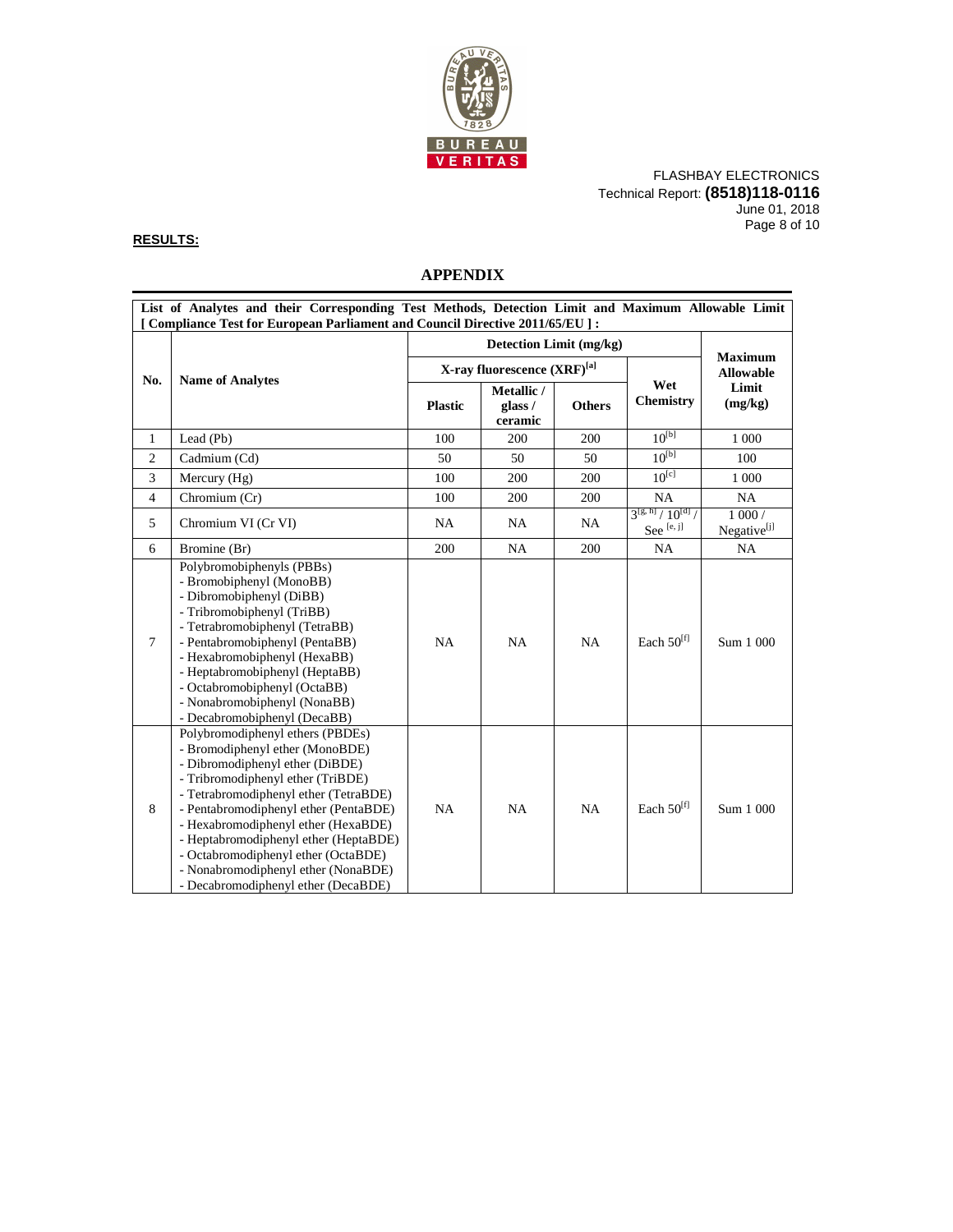

FLASHBAY ELECTRONICS Technical Report: **(8518)118-0116** June 01, 2018 Page 8 of 10

### **RESULTS:**

# **APPENDIX**

| List of Analytes and their Corresponding Test Methods, Detection Limit and Maximum Allowable Limit<br>[ Compliance Test for European Parliament and Council Directive 2011/65/EU ] : |                                                                                                                                                                                                                                                                                                                                                                                                                                    |                         |                                         |               |                                                      |                                  |
|--------------------------------------------------------------------------------------------------------------------------------------------------------------------------------------|------------------------------------------------------------------------------------------------------------------------------------------------------------------------------------------------------------------------------------------------------------------------------------------------------------------------------------------------------------------------------------------------------------------------------------|-------------------------|-----------------------------------------|---------------|------------------------------------------------------|----------------------------------|
|                                                                                                                                                                                      |                                                                                                                                                                                                                                                                                                                                                                                                                                    | Detection Limit (mg/kg) |                                         |               |                                                      |                                  |
|                                                                                                                                                                                      |                                                                                                                                                                                                                                                                                                                                                                                                                                    |                         | X-ray fluorescence (XRF) <sup>[a]</sup> |               | <b>Maximum</b><br><b>Allowable</b>                   |                                  |
| No.                                                                                                                                                                                  | <b>Name of Analytes</b>                                                                                                                                                                                                                                                                                                                                                                                                            | <b>Plastic</b>          | Metallic /<br>glass /<br>ceramic        | <b>Others</b> | Wet<br><b>Chemistry</b>                              | Limit<br>(mg/kg)                 |
| $\mathbf{1}$                                                                                                                                                                         | Lead (Pb)                                                                                                                                                                                                                                                                                                                                                                                                                          | 100                     | 200                                     | 200           | $10^{[b]}$                                           | 1 0 0 0                          |
| $\overline{c}$                                                                                                                                                                       | Cadmium (Cd)                                                                                                                                                                                                                                                                                                                                                                                                                       | 50                      | 50                                      | 50            | $10^{[b]}$                                           | 100                              |
| $\overline{3}$                                                                                                                                                                       | Mercury $(Hg)$                                                                                                                                                                                                                                                                                                                                                                                                                     | 100                     | 200                                     | 200           | $10^{[c]}$                                           | 1 0 0 0                          |
| $\overline{4}$                                                                                                                                                                       | Chromium (Cr)                                                                                                                                                                                                                                                                                                                                                                                                                      | 100                     | 200                                     | 200           | NA                                                   | NA.                              |
| 5                                                                                                                                                                                    | Chromium VI (Cr VI)                                                                                                                                                                                                                                                                                                                                                                                                                | <b>NA</b>               | NA                                      | NA            | $3^{[g, h]}/10^{[d]}$<br>See $\left[$ e, j $\right]$ | 1000/<br>Negative <sup>[j]</sup> |
| 6                                                                                                                                                                                    | Bromine (Br)                                                                                                                                                                                                                                                                                                                                                                                                                       | 200                     | <b>NA</b>                               | 200           | NA                                                   | NA                               |
| $\tau$                                                                                                                                                                               | Polybromobiphenyls (PBBs)<br>- Bromobiphenyl (MonoBB)<br>- Dibromobiphenyl (DiBB)<br>- Tribromobiphenyl (TriBB)<br>- Tetrabromobiphenyl (TetraBB)<br>- Pentabromobiphenyl (PentaBB)<br>- Hexabromobiphenyl (HexaBB)<br>- Heptabromobiphenyl (HeptaBB)<br>- Octabromobiphenyl (OctaBB)<br>- Nonabromobiphenyl (NonaBB)<br>- Decabromobiphenyl (DecaBB)                                                                              | <b>NA</b>               | <b>NA</b>                               | <b>NA</b>     | Each 50 <sup>[f]</sup>                               | Sum 1 000                        |
| 8                                                                                                                                                                                    | Polybromodiphenyl ethers (PBDEs)<br>- Bromodiphenyl ether (MonoBDE)<br>- Dibromodiphenyl ether (DiBDE)<br>- Tribromodiphenyl ether (TriBDE)<br>- Tetrabromodiphenyl ether (TetraBDE)<br>- Pentabromodiphenyl ether (PentaBDE)<br>- Hexabromodiphenyl ether (HexaBDE)<br>- Heptabromodiphenyl ether (HeptaBDE)<br>- Octabromodiphenyl ether (OctaBDE)<br>- Nonabromodiphenyl ether (NonaBDE)<br>- Decabromodiphenyl ether (DecaBDE) | <b>NA</b>               | <b>NA</b>                               | NA            | Each 50 <sup>[f]</sup>                               | Sum 1 000                        |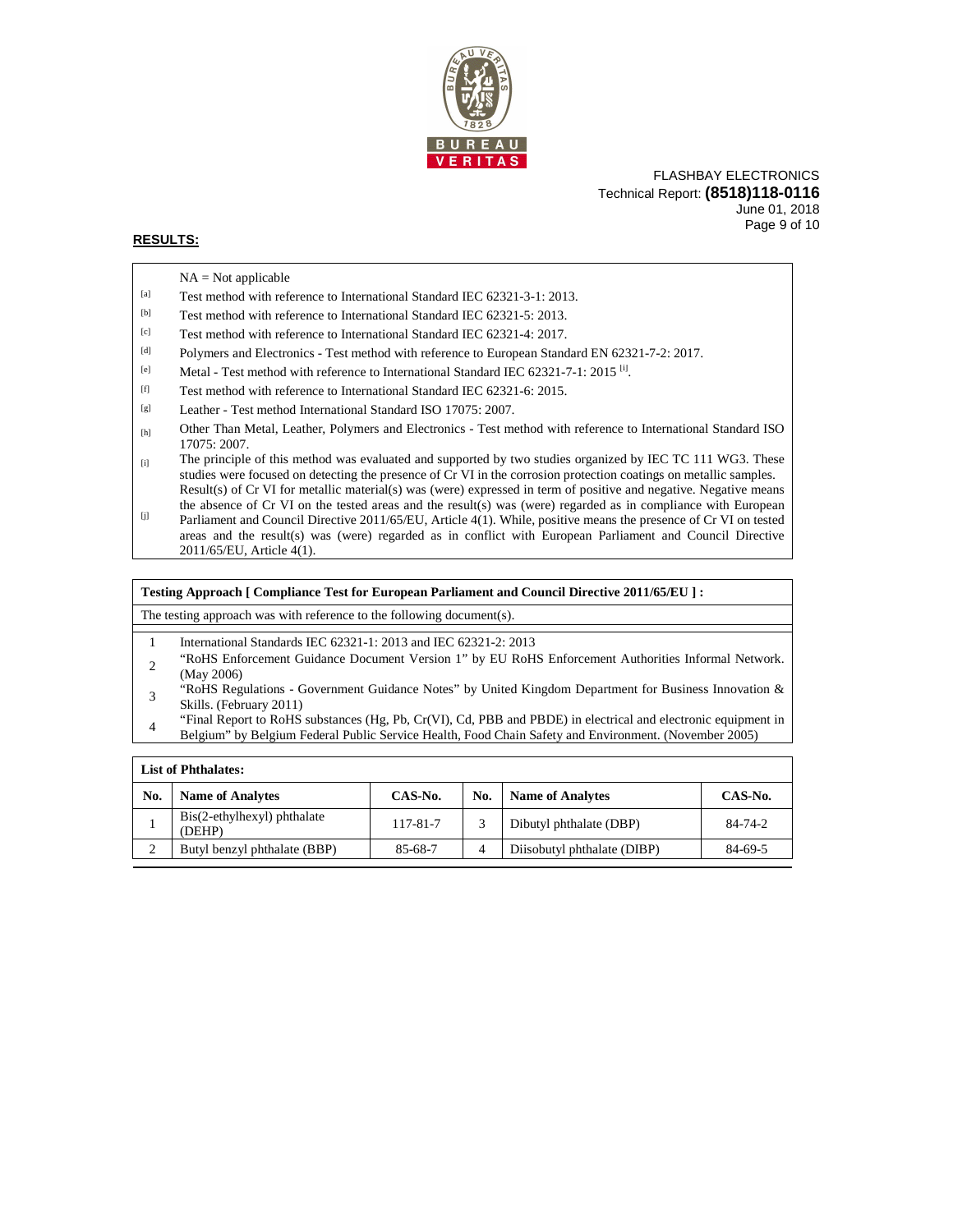

### FLASHBAY ELECTRONICS Technical Report: **(8518)118-0116** June 01, 2018 Page 9 of 10

### **RESULTS:**

|       | $NA = Not applicable$                                                                                                          |
|-------|--------------------------------------------------------------------------------------------------------------------------------|
| [a]   | Test method with reference to International Standard IEC 62321-3-1: 2013.                                                      |
| [b]   | Test method with reference to International Standard IEC 62321-5: 2013.                                                        |
| [c]   | Test method with reference to International Standard IEC 62321-4: 2017.                                                        |
| $[d]$ | Polymers and Electronics - Test method with reference to European Standard EN 62321-7-2: 2017.                                 |
| [e]   | Metal - Test method with reference to International Standard IEC 62321-7-1: 2015 $\text{^{11}}$ .                              |
| $[f]$ | Test method with reference to International Standard IEC 62321-6: 2015.                                                        |
| [g]   | Leather - Test method International Standard ISO 17075: 2007.                                                                  |
| [h]   | Other Than Metal, Leather, Polymers and Electronics - Test method with reference to International Standard ISO<br>17075: 2007. |
|       |                                                                                                                                |

- $_{[i]}$  The principle of this method was evaluated and supported by two studies organized by IEC TC 111 WG3. These studies were focused on detecting the presence of Cr VI in the corrosion protection coatings on metallic samples. [j] Result(s) of Cr VI for metallic material(s) was (were) expressed in term of positive and negative. Negative means the absence of Cr VI on the tested areas and the result(s) was (were) regarded as in compliance with European Parliament and Council Directive 2011/65/EU, Article 4(1). While, positive means the presence of Cr VI on tested
- areas and the result(s) was (were) regarded as in conflict with European Parliament and Council Directive 2011/65/EU, Article 4(1).

#### **Testing Approach [ Compliance Test for European Parliament and Council Directive 2011/65/EU ] :**

The testing approach was with reference to the following document(s).

- 1 International Standards IEC 62321-1: 2013 and IEC 62321-2: 2013
- <sup>2</sup>"RoHS Enforcement Guidance Document Version 1" by EU RoHS Enforcement Authorities Informal Network. (May 2006)
- <sup>3</sup>"RoHS Regulations Government Guidance Notes" by United Kingdom Department for Business Innovation & Skills. (February 2011)
- "Final Report to RoHS substances (Hg, Pb, Cr(VI), Cd, PBB and PBDE) in electrical and electronic equipment in Belgium" by Belgium Federal Public Service Health, Food Chain Safety and Environment. (November 2005)

| <b>List of Phthalates:</b> |                                       |          |                |                             |         |  |  |
|----------------------------|---------------------------------------|----------|----------------|-----------------------------|---------|--|--|
| No.                        | <b>Name of Analytes</b>               | CAS-No.  | No.            | <b>Name of Analytes</b>     | CAS-No. |  |  |
|                            | Bis(2-ethylhexyl) phthalate<br>(DEHP) | 117-81-7 |                | Dibutyl phthalate (DBP)     | 84-74-2 |  |  |
|                            | Butyl benzyl phthalate (BBP)          | 85-68-7  | $\overline{4}$ | Diisobutyl phthalate (DIBP) | 84-69-5 |  |  |